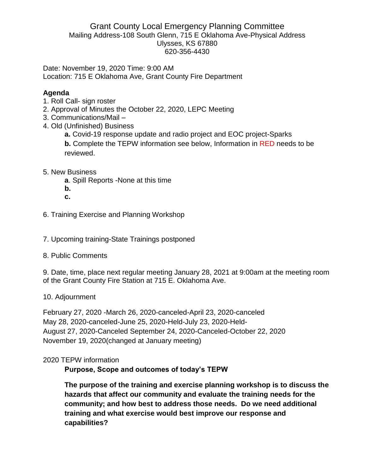#### Grant County Local Emergency Planning Committee Mailing Address-108 South Glenn, 715 E Oklahoma Ave-Physical Address Ulysses, KS 67880 620-356-4430

Date: November 19, 2020 Time: 9:00 AM Location: 715 E Oklahoma Ave, Grant County Fire Department

## **Agenda**

- 1. Roll Call- sign roster
- 2. Approval of Minutes the October 22, 2020, LEPC Meeting
- 3. Communications/Mail –
- 4. Old (Unfinished) Business
	- **a.** Covid-19 response update and radio project and EOC project-Sparks **b.** Complete the TEPW information see below, Information in RED needs to be reviewed.

# 5. New Business

- **a**. Spill Reports -None at this time
- **b.**
- **c.**
- 6. Training Exercise and Planning Workshop

7. Upcoming training-State Trainings postponed

8. Public Comments

9. Date, time, place next regular meeting January 28, 2021 at 9:00am at the meeting room of the Grant County Fire Station at 715 E. Oklahoma Ave.

### 10. Adjournment

February 27, 2020 -March 26, 2020-canceled-April 23, 2020-canceled May 28, 2020-canceled-June 25, 2020-Held-July 23, 2020-Held-August 27, 2020-Canceled September 24, 2020-Canceled-October 22, 2020 November 19, 2020(changed at January meeting)

### 2020 TEPW information

### **Purpose, Scope and outcomes of today's TEPW**

**The purpose of the training and exercise planning workshop is to discuss the hazards that affect our community and evaluate the training needs for the community; and how best to address those needs. Do we need additional training and what exercise would best improve our response and capabilities?**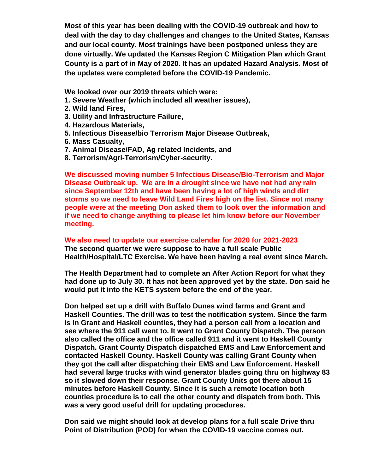**Most of this year has been dealing with the COVID-19 outbreak and how to deal with the day to day challenges and changes to the United States, Kansas and our local county. Most trainings have been postponed unless they are done virtually. We updated the Kansas Region C Mitigation Plan which Grant County is a part of in May of 2020. It has an updated Hazard Analysis. Most of the updates were completed before the COVID-19 Pandemic.**

**We looked over our 2019 threats which were:**

- **1. Severe Weather (which included all weather issues),**
- **2. Wild land Fires,**
- **3. Utility and Infrastructure Failure,**
- **4. Hazardous Materials,**
- **5. Infectious Disease/bio Terrorism Major Disease Outbreak,**
- **6. Mass Casualty,**
- **7. Animal Disease/FAD, Ag related Incidents, and**
- **8. Terrorism/Agri-Terrorism/Cyber-security.**

**We discussed moving number 5 Infectious Disease/Bio-Terrorism and Major Disease Outbreak up. We are in a drought since we have not had any rain since September 12th and have been having a lot of high winds and dirt storms so we need to leave Wild Land Fires high on the list. Since not many people were at the meeting Don asked them to look over the information and if we need to change anything to please let him know before our November meeting.** 

#### **We also need to update our exercise calendar for 2020 for 2021-2023**

**The second quarter we were suppose to have a full scale Public Health/Hospital/LTC Exercise. We have been having a real event since March.** 

**The Health Department had to complete an After Action Report for what they had done up to July 30. It has not been approved yet by the state. Don said he would put it into the KETS system before the end of the year.** 

**Don helped set up a drill with Buffalo Dunes wind farms and Grant and Haskell Counties. The drill was to test the notification system. Since the farm is in Grant and Haskell counties, they had a person call from a location and see where the 911 call went to. It went to Grant County Dispatch. The person also called the office and the office called 911 and it went to Haskell County Dispatch. Grant County Dispatch dispatched EMS and Law Enforcement and contacted Haskell County. Haskell County was calling Grant County when they got the call after dispatching their EMS and Law Enforcement. Haskell had several large trucks with wind generator blades going thru on highway 83 so it slowed down their response. Grant County Units got there about 15 minutes before Haskell County. Since it is such a remote location both counties procedure is to call the other county and dispatch from both. This was a very good useful drill for updating procedures.**

**Don said we might should look at develop plans for a full scale Drive thru Point of Distribution (POD) for when the COVID-19 vaccine comes out.**